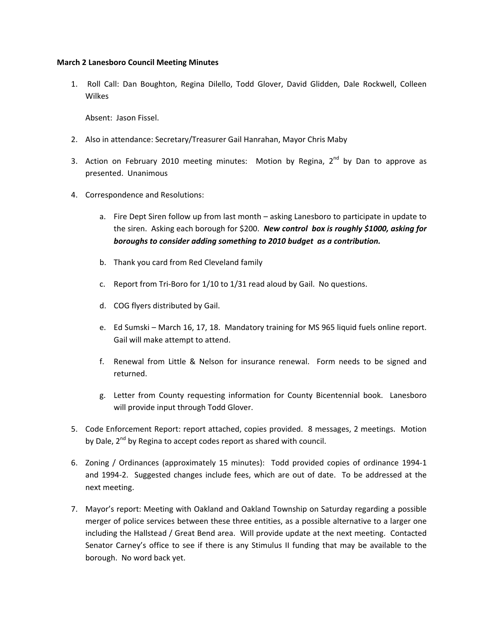## **March 2 Lanesboro Council Meeting Minutes**

1. Roll Call: Dan Boughton, Regina Dilello, Todd Glover, David Glidden, Dale Rockwell, Colleen Wilkes

Absent: Jason Fissel.

- 2. Also in attendance: Secretary/Treasurer Gail Hanrahan, Mayor Chris Maby
- 3. Action on February 2010 meeting minutes: Motion by Regina,  $2^{nd}$  by Dan to approve as presented. Unanimous
- 4. Correspondence and Resolutions:
	- a. Fire Dept Siren follow up from last month asking Lanesboro to participate in update to the siren. Asking each borough for \$200. *New control box is roughly \$1000, asking for boroughs to consider adding something to 2010 budget as a contribution.*
	- b. Thank you card from Red Cleveland family
	- c. Report from Tri-Boro for  $1/10$  to  $1/31$  read aloud by Gail. No questions.
	- d. COG flyers distributed by Gail.
	- e. Ed Sumski March 16, 17, 18. Mandatory training for MS 965 liquid fuels online report. Gail will make attempt to attend.
	- f. Renewal from Little & Nelson for insurance renewal. Form needs to be signed and returned.
	- g. Letter from County requesting information for County Bicentennial book. Lanesboro will provide input through Todd Glover.
- 5. Code Enforcement Report: report attached, copies provided. 8 messages, 2 meetings. Motion by Dale, 2<sup>nd</sup> by Regina to accept codes report as shared with council.
- 6. Zoning / Ordinances (approximately 15 minutes): Todd provided copies of ordinance 1994-1 and 1994-2. Suggested changes include fees, which are out of date. To be addressed at the next meeting.
- 7. Mayor's report: Meeting with Oakland and Oakland Township on Saturday regarding a possible merger of police services between these three entities, as a possible alternative to a larger one including the Hallstead / Great Bend area. Will provide update at the next meeting. Contacted Senator Carney's office to see if there is any Stimulus II funding that may be available to the borough. No word back yet.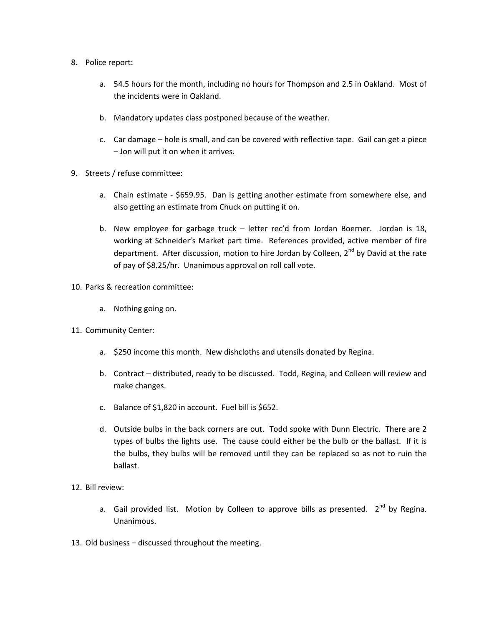- 8. Police report:
	- a. 54.5 hours for the month, including no hours for Thompson and 2.5 in Oakland. Most of the incidents were in Oakland.
	- b. Mandatory updates class postponed because of the weather.
	- c. Car damage hole is small, and can be covered with reflective tape. Gail can get a piece – Jon will put it on when it arrives.
- 9. Streets / refuse committee:
	- a. Chain estimate \$659.95. Dan is getting another estimate from somewhere else, and also getting an estimate from Chuck on putting it on.
	- b. New employee for garbage truck letter rec'd from Jordan Boerner. Jordan is 18, working at Schneider's Market part time. References provided, active member of fire department. After discussion, motion to hire Jordan by Colleen, 2<sup>nd</sup> by David at the rate of pay of \$8.25/hr. Unanimous approval on roll call vote.
- 10. Parks & recreation committee:
	- a. Nothing going on.
- 11. Community Center:
	- a. \$250 income this month. New dishcloths and utensils donated by Regina.
	- b. Contract distributed, ready to be discussed. Todd, Regina, and Colleen will review and make changes.
	- c. Balance of \$1,820 in account. Fuel bill is \$652.
	- d. Outside bulbs in the back corners are out. Todd spoke with Dunn Electric. There are 2 types of bulbs the lights use. The cause could either be the bulb or the ballast. If it is the bulbs, they bulbs will be removed until they can be replaced so as not to ruin the ballast.
- 12. Bill review:
	- a. Gail provided list. Motion by Colleen to approve bills as presented.  $2^{nd}$  by Regina. Unanimous.
- 13. Old business discussed throughout the meeting.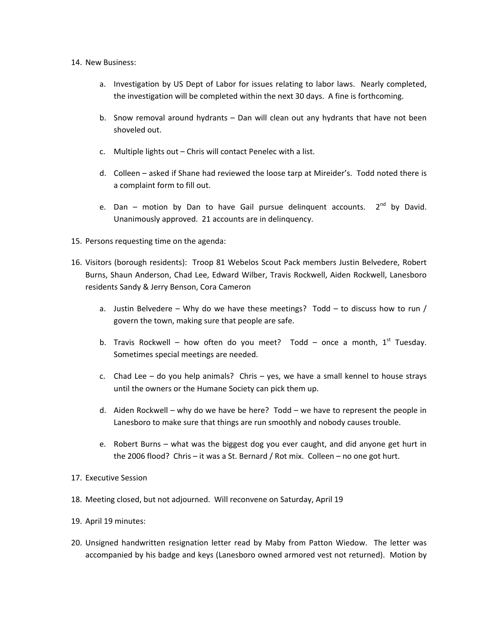## 14. New Business:

- a. Investigation by US Dept of Labor for issues relating to labor laws. Nearly completed, the investigation will be completed within the next 30 days. A fine is forthcoming.
- b. Snow removal around hydrants Dan will clean out any hydrants that have not been shoveled out.
- c. Multiple lights out Chris will contact Penelec with a list.
- d. Colleen asked if Shane had reviewed the loose tarp at Mireider's. Todd noted there is a complaint form to fill out.
- e. Dan motion by Dan to have Gail pursue delinguent accounts.  $2<sup>nd</sup>$  by David. Unanimously approved. 21 accounts are in delinquency.
- 15. Persons requesting time on the agenda:
- 16. Visitors (borough residents): Troop 81 Webelos Scout Pack members Justin Belvedere, Robert Burns, Shaun Anderson, Chad Lee, Edward Wilber, Travis Rockwell, Aiden Rockwell, Lanesboro residents Sandy & Jerry Benson, Cora Cameron
	- a. Justin Belvedere Why do we have these meetings? Todd to discuss how to run / govern the town, making sure that people are safe.
	- b. Travis Rockwell how often do you meet? Todd once a month,  $1^{st}$  Tuesday. Sometimes special meetings are needed.
	- c. Chad Lee do you help animals? Chris yes, we have a small kennel to house strays until the owners or the Humane Society can pick them up.
	- d. Aiden Rockwell why do we have be here? Todd we have to represent the people in Lanesboro to make sure that things are run smoothly and nobody causes trouble.
	- e. Robert Burns what was the biggest dog you ever caught, and did anyone get hurt in the 2006 flood? Chris – it was a St. Bernard / Rot mix. Colleen – no one got hurt.
- 17. Executive Session
- 18. Meeting closed, but not adjourned. Will reconvene on Saturday, April 19
- 19. April 19 minutes:
- 20. Unsigned handwritten resignation letter read by Maby from Patton Wiedow. The letter was accompanied by his badge and keys (Lanesboro owned armored vest not returned). Motion by